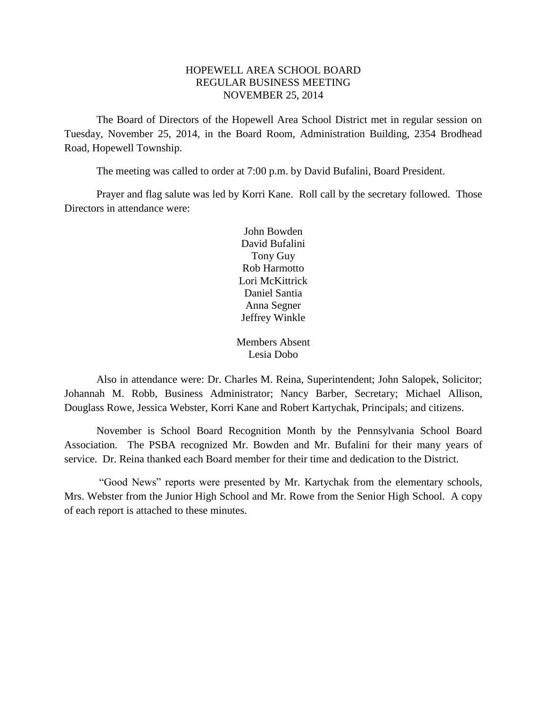# HOPEWELL AREA SCHOOL BOARD REGULAR BUSINESS MEETING NOVEMBER 25, 2014

The Board of Directors of the Hopewell Area School District met in regular session on Tuesday, November 25, 2014, in the Board Room, Administration Building, 2354 Brodhead Road, Hopewell Township.

The meeting was called to order at 7:00 p.m. by David Bufalini, Board President.

Prayer and flag salute was led by Korri Kane. Roll call by the secretary followed. Those Directors in attendance were:

> John Bowden David Bufalini Tony Guy Rob Harmotto Lori McKittrick Daniel Santia Anna Segner Jeffrey Winkle

Members Absent Lesia Dobo

Also in attendance were: Dr. Charles M. Reina, Superintendent; John Salopek, Solicitor; Johannah M. Robb, Business Administrator; Nancy Barber, Secretary; Michael Allison, Douglass Rowe, Jessica Webster, Korri Kane and Robert Kartychak, Principals; and citizens.

November is School Board Recognition Month by the Pennsylvania School Board Association. The PSBA recognized Mr. Bowden and Mr. Bufalini for their many years of service. Dr. Reina thanked each Board member for their time and dedication to the District.

"Good News" reports were presented by Mr. Kartychak from the elementary schools, Mrs. Webster from the Junior High School and Mr. Rowe from the Senior High School. A copy of each report is attached to these minutes.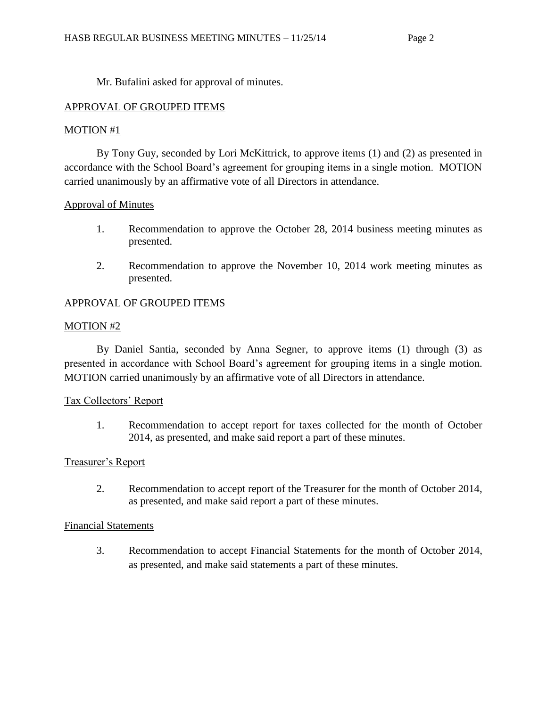Mr. Bufalini asked for approval of minutes.

# APPROVAL OF GROUPED ITEMS

# MOTION #1

By Tony Guy, seconded by Lori McKittrick, to approve items (1) and (2) as presented in accordance with the School Board's agreement for grouping items in a single motion. MOTION carried unanimously by an affirmative vote of all Directors in attendance.

# Approval of Minutes

- 1. Recommendation to approve the October 28, 2014 business meeting minutes as presented.
- 2. Recommendation to approve the November 10, 2014 work meeting minutes as presented.

# APPROVAL OF GROUPED ITEMS

# MOTION #2

By Daniel Santia, seconded by Anna Segner, to approve items (1) through (3) as presented in accordance with School Board's agreement for grouping items in a single motion. MOTION carried unanimously by an affirmative vote of all Directors in attendance.

# Tax Collectors' Report

1. Recommendation to accept report for taxes collected for the month of October 2014, as presented, and make said report a part of these minutes.

# Treasurer's Report

2. Recommendation to accept report of the Treasurer for the month of October 2014, as presented, and make said report a part of these minutes.

#### Financial Statements

3. Recommendation to accept Financial Statements for the month of October 2014, as presented, and make said statements a part of these minutes.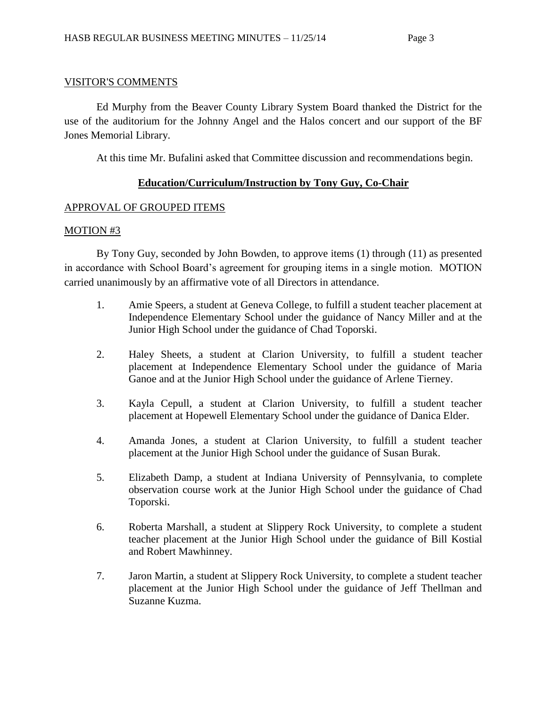## VISITOR'S COMMENTS

Ed Murphy from the Beaver County Library System Board thanked the District for the use of the auditorium for the Johnny Angel and the Halos concert and our support of the BF Jones Memorial Library.

At this time Mr. Bufalini asked that Committee discussion and recommendations begin.

# **Education/Curriculum/Instruction by Tony Guy, Co-Chair**

# APPROVAL OF GROUPED ITEMS

# MOTION #3

By Tony Guy, seconded by John Bowden, to approve items (1) through (11) as presented in accordance with School Board's agreement for grouping items in a single motion. MOTION carried unanimously by an affirmative vote of all Directors in attendance.

- 1. Amie Speers, a student at Geneva College, to fulfill a student teacher placement at Independence Elementary School under the guidance of Nancy Miller and at the Junior High School under the guidance of Chad Toporski.
- 2. Haley Sheets, a student at Clarion University, to fulfill a student teacher placement at Independence Elementary School under the guidance of Maria Ganoe and at the Junior High School under the guidance of Arlene Tierney.
- 3. Kayla Cepull, a student at Clarion University, to fulfill a student teacher placement at Hopewell Elementary School under the guidance of Danica Elder.
- 4. Amanda Jones, a student at Clarion University, to fulfill a student teacher placement at the Junior High School under the guidance of Susan Burak.
- 5. Elizabeth Damp, a student at Indiana University of Pennsylvania, to complete observation course work at the Junior High School under the guidance of Chad Toporski.
- 6. Roberta Marshall, a student at Slippery Rock University, to complete a student teacher placement at the Junior High School under the guidance of Bill Kostial and Robert Mawhinney.
- 7. Jaron Martin, a student at Slippery Rock University, to complete a student teacher placement at the Junior High School under the guidance of Jeff Thellman and Suzanne Kuzma.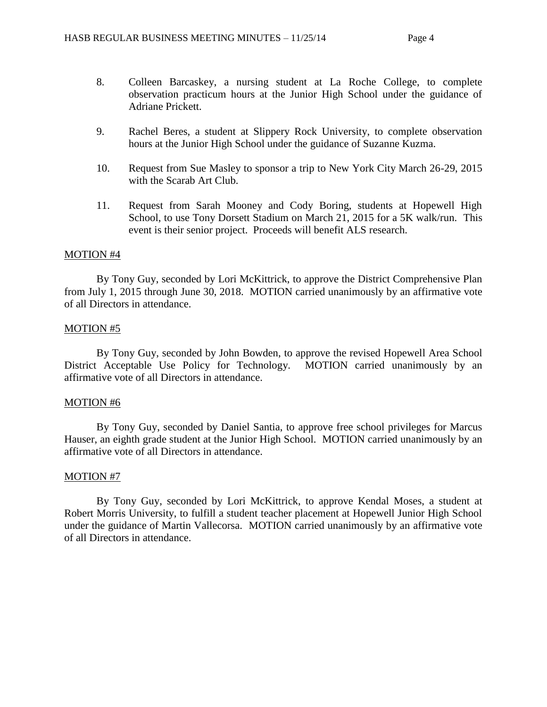- 8. Colleen Barcaskey, a nursing student at La Roche College, to complete observation practicum hours at the Junior High School under the guidance of Adriane Prickett.
- 9. Rachel Beres, a student at Slippery Rock University, to complete observation hours at the Junior High School under the guidance of Suzanne Kuzma.
- 10. Request from Sue Masley to sponsor a trip to New York City March 26-29, 2015 with the Scarab Art Club.
- 11. Request from Sarah Mooney and Cody Boring, students at Hopewell High School, to use Tony Dorsett Stadium on March 21, 2015 for a 5K walk/run. This event is their senior project. Proceeds will benefit ALS research.

By Tony Guy, seconded by Lori McKittrick, to approve the District Comprehensive Plan from July 1, 2015 through June 30, 2018. MOTION carried unanimously by an affirmative vote of all Directors in attendance.

#### MOTION #5

By Tony Guy, seconded by John Bowden, to approve the revised Hopewell Area School District Acceptable Use Policy for Technology. MOTION carried unanimously by an affirmative vote of all Directors in attendance.

#### MOTION #6

By Tony Guy, seconded by Daniel Santia, to approve free school privileges for Marcus Hauser, an eighth grade student at the Junior High School. MOTION carried unanimously by an affirmative vote of all Directors in attendance.

#### MOTION #7

By Tony Guy, seconded by Lori McKittrick, to approve Kendal Moses, a student at Robert Morris University, to fulfill a student teacher placement at Hopewell Junior High School under the guidance of Martin Vallecorsa. MOTION carried unanimously by an affirmative vote of all Directors in attendance.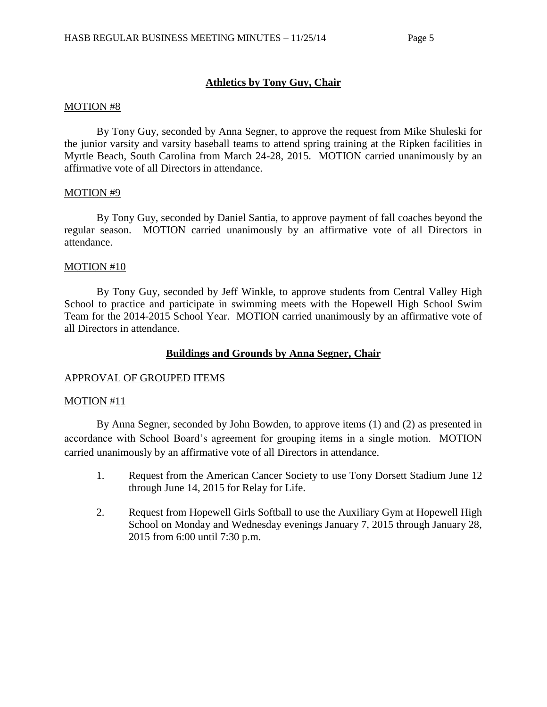# **Athletics by Tony Guy, Chair**

#### MOTION #8

By Tony Guy, seconded by Anna Segner, to approve the request from Mike Shuleski for the junior varsity and varsity baseball teams to attend spring training at the Ripken facilities in Myrtle Beach, South Carolina from March 24-28, 2015. MOTION carried unanimously by an affirmative vote of all Directors in attendance.

### MOTION #9

By Tony Guy, seconded by Daniel Santia, to approve payment of fall coaches beyond the regular season. MOTION carried unanimously by an affirmative vote of all Directors in attendance.

### MOTION #10

By Tony Guy, seconded by Jeff Winkle, to approve students from Central Valley High School to practice and participate in swimming meets with the Hopewell High School Swim Team for the 2014-2015 School Year. MOTION carried unanimously by an affirmative vote of all Directors in attendance.

# **Buildings and Grounds by Anna Segner, Chair**

# APPROVAL OF GROUPED ITEMS

#### MOTION #11

By Anna Segner, seconded by John Bowden, to approve items (1) and (2) as presented in accordance with School Board's agreement for grouping items in a single motion. MOTION carried unanimously by an affirmative vote of all Directors in attendance.

- 1. Request from the American Cancer Society to use Tony Dorsett Stadium June 12 through June 14, 2015 for Relay for Life.
- 2. Request from Hopewell Girls Softball to use the Auxiliary Gym at Hopewell High School on Monday and Wednesday evenings January 7, 2015 through January 28, 2015 from 6:00 until 7:30 p.m.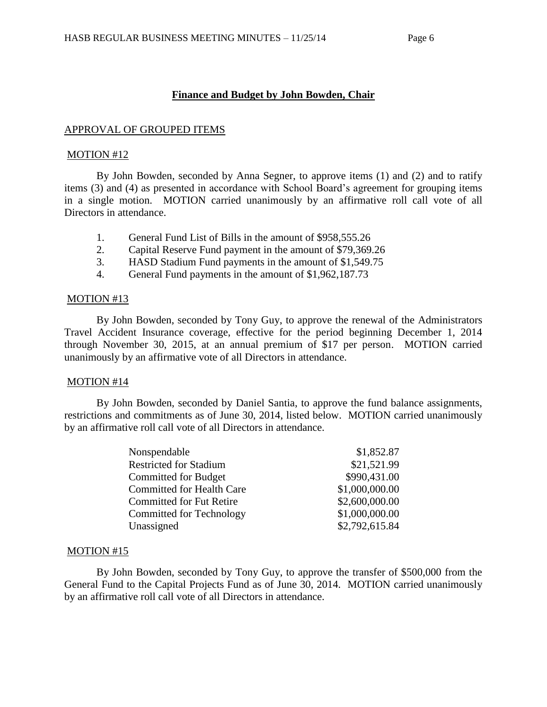# **Finance and Budget by John Bowden, Chair**

### APPROVAL OF GROUPED ITEMS

#### MOTION #12

By John Bowden, seconded by Anna Segner, to approve items (1) and (2) and to ratify items (3) and (4) as presented in accordance with School Board's agreement for grouping items in a single motion. MOTION carried unanimously by an affirmative roll call vote of all Directors in attendance.

- 1. General Fund List of Bills in the amount of \$958,555.26
- 2. Capital Reserve Fund payment in the amount of \$79,369.26
- 3. HASD Stadium Fund payments in the amount of \$1,549.75
- 4. General Fund payments in the amount of \$1,962,187.73

### MOTION #13

By John Bowden, seconded by Tony Guy, to approve the renewal of the Administrators Travel Accident Insurance coverage, effective for the period beginning December 1, 2014 through November 30, 2015, at an annual premium of \$17 per person. MOTION carried unanimously by an affirmative vote of all Directors in attendance.

#### MOTION #14

By John Bowden, seconded by Daniel Santia, to approve the fund balance assignments, restrictions and commitments as of June 30, 2014, listed below. MOTION carried unanimously by an affirmative roll call vote of all Directors in attendance.

| Nonspendable                     | \$1,852.87     |
|----------------------------------|----------------|
| <b>Restricted for Stadium</b>    | \$21,521.99    |
| <b>Committed for Budget</b>      | \$990,431.00   |
| <b>Committed for Health Care</b> | \$1,000,000.00 |
| <b>Committed for Fut Retire</b>  | \$2,600,000.00 |
| Committed for Technology         | \$1,000,000.00 |
| Unassigned                       | \$2,792,615.84 |

#### MOTION #15

By John Bowden, seconded by Tony Guy, to approve the transfer of \$500,000 from the General Fund to the Capital Projects Fund as of June 30, 2014. MOTION carried unanimously by an affirmative roll call vote of all Directors in attendance.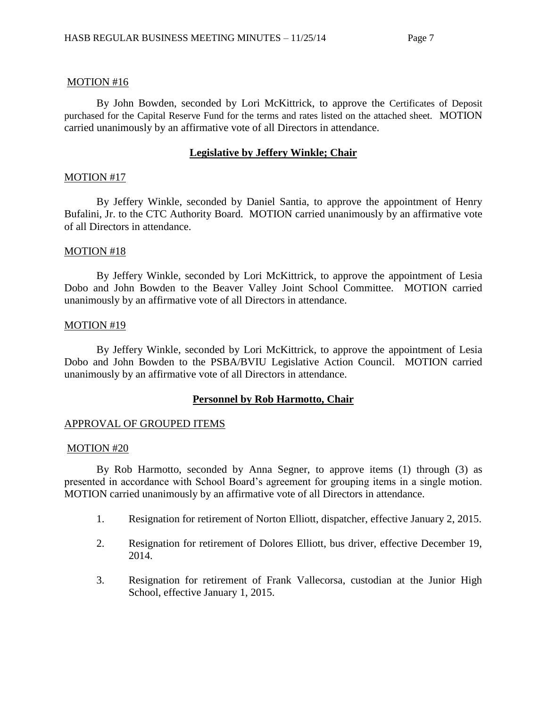By John Bowden, seconded by Lori McKittrick, to approve the Certificates of Deposit purchased for the Capital Reserve Fund for the terms and rates listed on the attached sheet. MOTION carried unanimously by an affirmative vote of all Directors in attendance.

### **Legislative by Jeffery Winkle; Chair**

### MOTION #17

By Jeffery Winkle, seconded by Daniel Santia, to approve the appointment of Henry Bufalini, Jr. to the CTC Authority Board. MOTION carried unanimously by an affirmative vote of all Directors in attendance.

### MOTION #18

By Jeffery Winkle, seconded by Lori McKittrick, to approve the appointment of Lesia Dobo and John Bowden to the Beaver Valley Joint School Committee. MOTION carried unanimously by an affirmative vote of all Directors in attendance.

#### MOTION #19

By Jeffery Winkle, seconded by Lori McKittrick, to approve the appointment of Lesia Dobo and John Bowden to the PSBA/BVIU Legislative Action Council. MOTION carried unanimously by an affirmative vote of all Directors in attendance.

# **Personnel by Rob Harmotto, Chair**

#### APPROVAL OF GROUPED ITEMS

#### MOTION #20

By Rob Harmotto, seconded by Anna Segner, to approve items (1) through (3) as presented in accordance with School Board's agreement for grouping items in a single motion. MOTION carried unanimously by an affirmative vote of all Directors in attendance.

- 1. Resignation for retirement of Norton Elliott, dispatcher, effective January 2, 2015.
- 2. Resignation for retirement of Dolores Elliott, bus driver, effective December 19, 2014.
- 3. Resignation for retirement of Frank Vallecorsa, custodian at the Junior High School, effective January 1, 2015.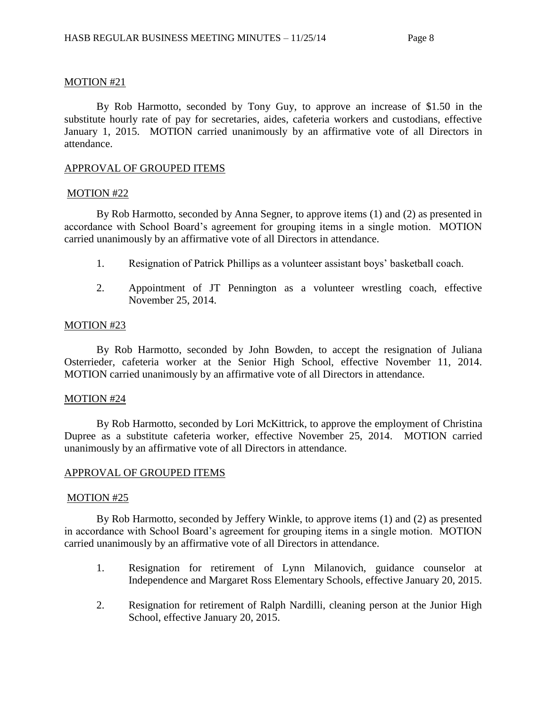By Rob Harmotto, seconded by Tony Guy, to approve an increase of \$1.50 in the substitute hourly rate of pay for secretaries, aides, cafeteria workers and custodians, effective January 1, 2015. MOTION carried unanimously by an affirmative vote of all Directors in attendance.

### APPROVAL OF GROUPED ITEMS

#### MOTION #22

By Rob Harmotto, seconded by Anna Segner, to approve items (1) and (2) as presented in accordance with School Board's agreement for grouping items in a single motion. MOTION carried unanimously by an affirmative vote of all Directors in attendance.

- 1. Resignation of Patrick Phillips as a volunteer assistant boys' basketball coach.
- 2. Appointment of JT Pennington as a volunteer wrestling coach, effective November 25, 2014.

### MOTION #23

By Rob Harmotto, seconded by John Bowden, to accept the resignation of Juliana Osterrieder, cafeteria worker at the Senior High School, effective November 11, 2014. MOTION carried unanimously by an affirmative vote of all Directors in attendance.

#### MOTION #24

By Rob Harmotto, seconded by Lori McKittrick, to approve the employment of Christina Dupree as a substitute cafeteria worker, effective November 25, 2014. MOTION carried unanimously by an affirmative vote of all Directors in attendance.

# APPROVAL OF GROUPED ITEMS

#### MOTION #25

By Rob Harmotto, seconded by Jeffery Winkle, to approve items (1) and (2) as presented in accordance with School Board's agreement for grouping items in a single motion. MOTION carried unanimously by an affirmative vote of all Directors in attendance.

- 1. Resignation for retirement of Lynn Milanovich, guidance counselor at Independence and Margaret Ross Elementary Schools, effective January 20, 2015.
- 2. Resignation for retirement of Ralph Nardilli, cleaning person at the Junior High School, effective January 20, 2015.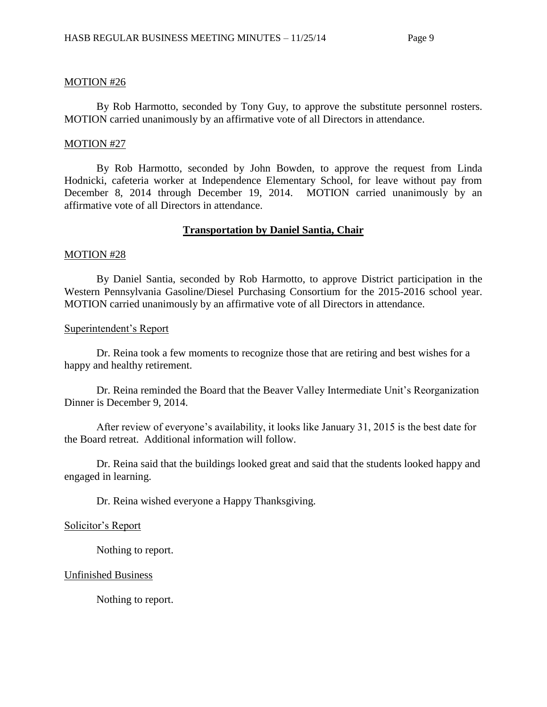By Rob Harmotto, seconded by Tony Guy, to approve the substitute personnel rosters. MOTION carried unanimously by an affirmative vote of all Directors in attendance.

#### MOTION #27

By Rob Harmotto, seconded by John Bowden, to approve the request from Linda Hodnicki, cafeteria worker at Independence Elementary School, for leave without pay from December 8, 2014 through December 19, 2014. MOTION carried unanimously by an affirmative vote of all Directors in attendance.

#### **Transportation by Daniel Santia, Chair**

#### MOTION #28

By Daniel Santia, seconded by Rob Harmotto, to approve District participation in the Western Pennsylvania Gasoline/Diesel Purchasing Consortium for the 2015-2016 school year. MOTION carried unanimously by an affirmative vote of all Directors in attendance.

#### Superintendent's Report

Dr. Reina took a few moments to recognize those that are retiring and best wishes for a happy and healthy retirement.

Dr. Reina reminded the Board that the Beaver Valley Intermediate Unit's Reorganization Dinner is December 9, 2014.

After review of everyone's availability, it looks like January 31, 2015 is the best date for the Board retreat. Additional information will follow.

Dr. Reina said that the buildings looked great and said that the students looked happy and engaged in learning.

Dr. Reina wished everyone a Happy Thanksgiving.

#### Solicitor's Report

Nothing to report.

#### Unfinished Business

Nothing to report.